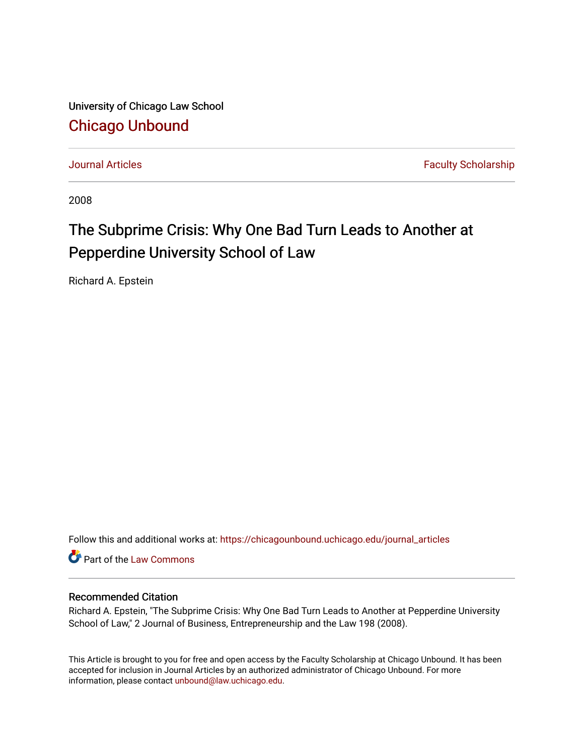University of Chicago Law School [Chicago Unbound](https://chicagounbound.uchicago.edu/)

[Journal Articles](https://chicagounbound.uchicago.edu/journal_articles) **Faculty Scholarship Journal Articles** 

2008

# The Subprime Crisis: Why One Bad Turn Leads to Another at Pepperdine University School of Law

Richard A. Epstein

Follow this and additional works at: [https://chicagounbound.uchicago.edu/journal\\_articles](https://chicagounbound.uchicago.edu/journal_articles?utm_source=chicagounbound.uchicago.edu%2Fjournal_articles%2F1190&utm_medium=PDF&utm_campaign=PDFCoverPages) 

Part of the [Law Commons](http://network.bepress.com/hgg/discipline/578?utm_source=chicagounbound.uchicago.edu%2Fjournal_articles%2F1190&utm_medium=PDF&utm_campaign=PDFCoverPages)

#### Recommended Citation

Richard A. Epstein, "The Subprime Crisis: Why One Bad Turn Leads to Another at Pepperdine University School of Law," 2 Journal of Business, Entrepreneurship and the Law 198 (2008).

This Article is brought to you for free and open access by the Faculty Scholarship at Chicago Unbound. It has been accepted for inclusion in Journal Articles by an authorized administrator of Chicago Unbound. For more information, please contact [unbound@law.uchicago.edu](mailto:unbound@law.uchicago.edu).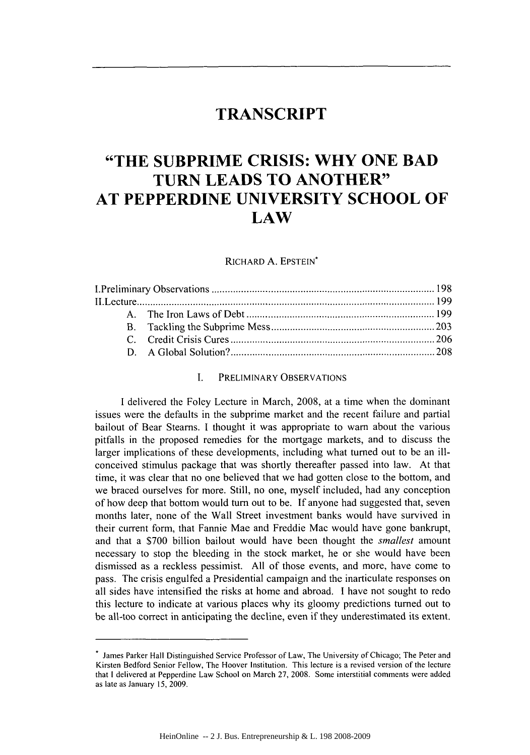### **TRANSCRIPT**

## **"THE SUBPRIME CRISIS: WHY ONE BAD TURN LEADS TO ANOTHER" AT PEPPERDINE UNIVERSITY SCHOOL OF LAW**

RICHARD **A. EPSTEIN\***

#### **I.** PRELIMINARY **OBSERVATIONS**

**I** delivered the Foley Lecture in March, 2008, at a time when the dominant issues were the defaults in the subprime market and the recent failure and partial bailout of Bear Steams. **I** thought it was appropriate to warn about the various pitfalls in the proposed remedies for the mortgage markets, and to discuss the larger implications of these developments, including what turned out to be an illconceived stimulus package that was shortly thereafter passed into law. At that time, it was clear that no one believed that we had gotten close to the bottom, and we braced ourselves for more. Still, no one, myself included, had any conception of how deep that bottom would turn out to be. **If** anyone had suggested that, seven months later, none of the Wall Street investment banks would have survived in their current form, that Fannie Mae and Freddie Mac would have gone bankrupt, and that a **\$700** billion bailout would have been thought the *smallest* amount necessary to stop the bleeding in the stock market, he or she would have been dismissed as a reckless pessimist. **All** of those events, and more, have come to pass. The crisis engulfed a Presidential campaign and the inarticulate responses on all sides have intensified the risks at home and abroad. **I** have not sought to redo this lecture to indicate at various places why its gloomy predictions turned out to be all-too correct in anticipating the decline, even if they underestimated its extent.

James Parker Hall Distinguished Service Professor of Law, The University of Chicago; The Peter and Kirsten Bedford Senior Fellow, The Hoover Institution. This lecture is a revised version of the lecture that **I** delivered at Pepperdine Law School on March **27, 2008.** Some interstitial comments were added as late as January **15, 2009.**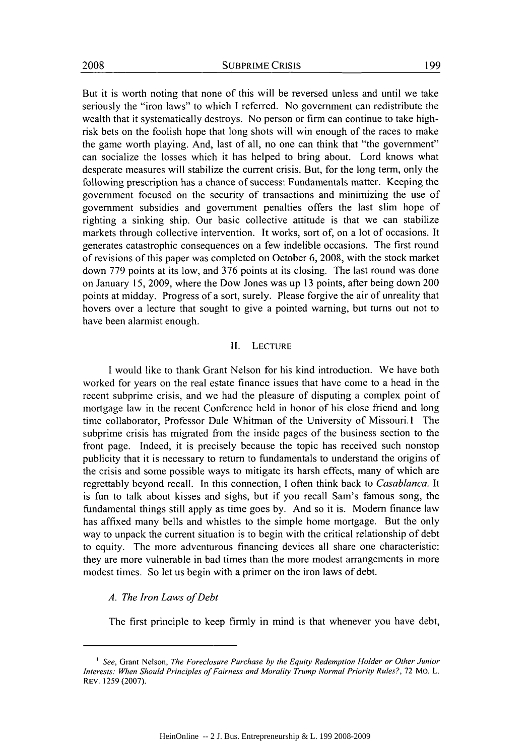But it is worth noting that none of this will be reversed unless and until we take seriously the "iron laws" to which **I** referred. No government can redistribute the wealth that it systematically destroys. No person or firm can continue to take highrisk bets on the foolish hope that long shots will win enough of the races to make the game worth playing. And, last of all, no one can think that "the government" can socialize the losses which it has helped to bring about. Lord knows what desperate measures will stabilize the current crisis. But, for the long term, only the following prescription has a chance of success: Fundamentals matter. Keeping the government focused on the security of transactions and minimizing the use of government subsidies and government penalties offers the last slim hope of righting a sinking ship. Our basic collective attitude is that we can stabilize markets through collective intervention. It works, sort of, on a lot of occasions. It generates catastrophic consequences on a few indelible occasions. The first round of revisions of this paper was completed on October **6, 2008,** with the stock market down **779** points at its low, and **376** points at its closing. The last round was done on January *15,* **2009,** where the Dow Jones was up **13** points, after being down 200 points at midday. Progress of a sort, surely. Please forgive the air of unreality that hovers over a lecture that sought to give a pointed warning, but turns out not to have been alarmist enough.

#### **II. LECTURE**

**I** would like to thank Grant Nelson for his kind introduction. We have both worked for years on the real estate finance issues that have come to a head in the recent subprime crisis, and we had the pleasure of disputing a complex point of mortgage law in the recent Conference held in honor of his close friend and long time collaborator, Professor Dale Whitman of the University of Missouri.1 The subprime crisis has migrated from the inside pages of the business section to the front page. Indeed, it is precisely because the topic has received such nonstop publicity that it is necessary to return to fundamentals to understand the origins of the crisis and some possible ways to mitigate its harsh effects, many of which are regrettably beyond recall. In this connection, **I** often think back to *Casablanca. It* is fun to talk about kisses and sighs, but if you recall Sam's famous song, the fundamental things still apply as time goes **by.** And so it is. Modem finance law has affixed many bells and whistles to the simple home mortgage. But the only way to unpack the current situation is to begin with the critical relationship of debt to equity. The more adventurous financing devices all share one characteristic: they are more vulnerable in bad times than the more modest arrangements in more modest times. So let us begin with a primer on the iron laws of debt.

#### *A. The Iron Laws ofDebt*

The first principle to keep firmly in mind is that whenever you have debt,

See, Grant Nelson, The Foreclosure Purchase **by** the Equity *Redemption Holder or Other Junior* Interests: When Should Principles of Fairness and Morality Trump Normal Priority Rules?, **72** Mo. L. REV. **1259 (2007).**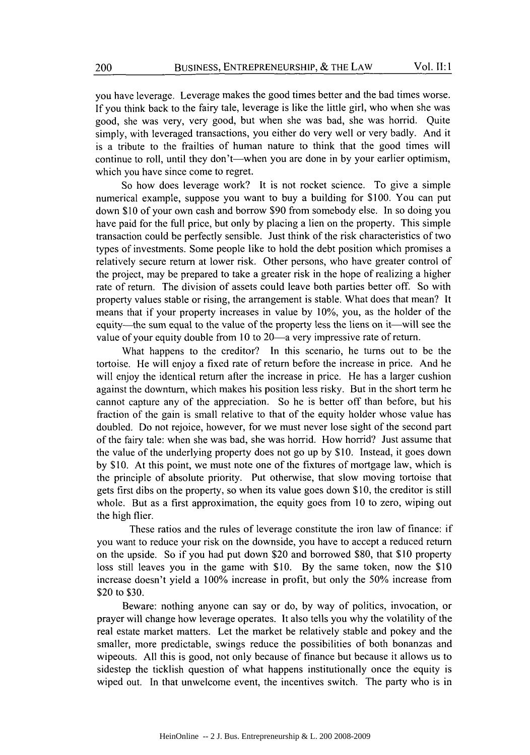you have leverage. Leverage makes the good times better and the bad times worse. **If** you think back to the fairy tale, leverage is like the little girl, who when she was good, she was very, very good, but when she was bad, she was horrid. Quite simply, with leveraged transactions, you either do very well or very badly. And it is a tribute to the frailties of human nature to think that the good times will continue to roll, until they don't-when you are done in by your earlier optimism, which you have since come to regret.

So how does leverage work? It is not rocket science. To give a simple numerical example, suppose you want to buy a building for **\$100.** You can put down **\$10** of your own cash and borrow **\$90** from somebody else. In so doing you have paid for the full price, but only **by** placing a lien on the property. This simple transaction could be perfectly sensible. Just think of the risk characteristics of two types of investments. Some people like to hold the debt position which promises a relatively secure return at lower risk. Other persons, who have greater control of the project, may **be** prepared to take a greater risk in the hope of realizing a higher rate of return. The division of assets could leave both parties better off. So with property values stable or rising, the arrangement is stable. What does that mean? It means that if your property increases in value **by 10%,** you, as the holder of the equity-the sum equal to the value of the property less the liens on it-will see the value of your equity double from 10 to 20-a very impressive rate of return.

What happens to the creditor? In this scenario, he turns out to be the tortoise. He will enjoy a fixed rate of return before the increase in price. And he will enjoy the identical return after the increase in price. He has a larger cushion against the downturn, which makes his position less risky. But in the short term he cannot capture any of the appreciation. So he is better off than before, but his fraction of the gain is small relative to that of the equity holder whose value has doubled. Do not rejoice, however, for we must never lose sight of the second part of the fairy tale: when she was bad, she was horrid. How horrid? Just assume that the value of the underlying property does not go up **by \$10.** Instead, it goes down **by \$10.** At this point, we must note one of the fixtures of mortgage law, which is the principle of absolute priority. Put otherwise, that slow moving tortoise that gets first dibs on the property, so when its value goes down **\$10,** the creditor is still whole. But as a first approximation, the equity goes from **10** to zero, wiping out the high flier.

These ratios and the rules of leverage constitute the iron law of finance: if you want to reduce your risk on the downside, you have to accept a reduced return on the upside. So if you had put down \$20 and borrowed **\$80,** that **\$10** property loss still leaves you in the game with **\$10. By** the same token, now the **\$10** increase doesn't yield a **100%** increase in profit, but only the **50%** increase from \$20 to **\$30.**

Beware: nothing anyone can say or do, **by** way of politics, invocation, or prayer will change how leverage operates. It also tells you why the volatility of the real estate market matters. Let the market be relatively stable and pokey and the smaller, more predictable, swings reduce the possibilities of both bonanzas and wipeouts. **All** this is good, not only because of finance but because it allows us to sidestep the ticklish question of what happens institutionally once the equity is wiped out. In that unwelcome event, the incentives switch. The party who is in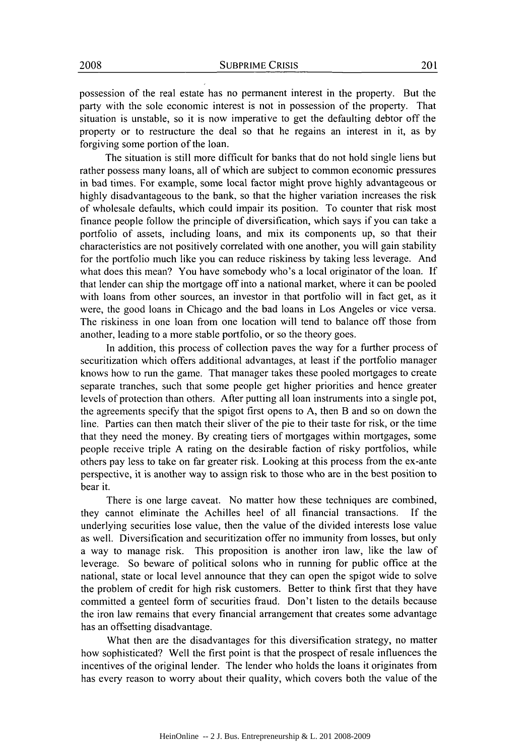possession of the real estate has no permanent interest in the property. But the party with the sole economic interest is not in possession of the property. That situation is unstable, so it is now imperative to get the defaulting debtor off the property or to restructure the deal so that he regains an interest in it, as **by** forgiving some portion of the loan.

The situation is still more difficult for banks that do not hold single liens but rather possess many loans, all of which are subject to common economic pressures in bad times. For example, some local factor might prove **highly** advantageous or **highly** disadvantageous to the bank, so that the higher variation increases the risk of wholesale defaults, which could impair its position. To counter that risk most finance people follow the principle of diversification, which says **if** you can take a portfolio of assets, including loans, and mix its components up, so that their characteristics are not positively correlated with one another, you will gain stability for the portfolio much like you can reduce riskiness **by** taking less leverage. And what does this mean? You have somebody who's a local originator of the loan. **If** that lender can ship the mortgage off into a national market, where it can be pooled with loans from other sources, an investor in that portfolio will in fact get, as it were, the good loans in Chicago and the bad loans in Los Angeles or vice versa. The riskiness in one loan from one location will tend to balance off those from another, leading to a more stable portfolio, or so the theory goes.

In addition, this process of collection paves the way for a further process of securitization which offers additional advantages, at least if the portfolio manager knows how to run the game. That manager takes these pooled mortgages to create separate tranches, such that some people get higher priorities and hence greater levels of protection than others. After putting all loan instruments into a single pot, the agreements specify that the spigot first opens to **A,** then B and so on down the line. Parties can then match their sliver of the pie to their taste for risk, or the time that they need the money. **By** creating tiers of mortgages within mortgages, some people receive triple **A** rating on the desirable faction of risky portfolios, while others pay less to take on far greater risk. Looking at this process from the ex-ante perspective, it is another way to assign risk to those who are in the best position to bear it.

There is one large caveat. No matter how these techniques are combined, they cannot eliminate the Achilles heel of all financial transactions. **If** the underlying securities lose value, then the value of the divided interests lose value as well. Diversification and securitization offer no immunity from losses, but only a way to manage risk. This proposition is another iron law, like the law of leverage. So beware of political solons who in running for public office at the national, state or local level announce that they can open the spigot wide to solve the problem of credit for high risk customers. Better to think first that they have committed a genteel form of securities fraud. Don't listen to the details because the iron law remains that every financial arrangement that creates some advantage has an offsetting disadvantage.

What then are the disadvantages for this diversification strategy, no matter how sophisticated? Well the first point is that the prospect of resale influences the incentives of the original lender. The lender who holds the loans it originates from has every reason to worry about their quality, which covers both the value of the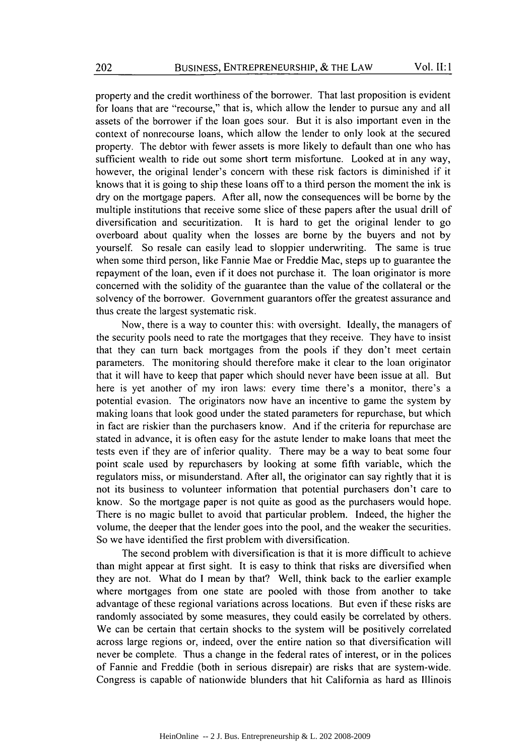property and the credit worthiness of the borrower. That last proposition is evident for loans that are "recourse," that is, which allow the lender to pursue any and all assets of the borrower if the loan goes sour. But it is also important even in the context of nonrecourse loans, which allow the lender to only look at the secured property. The debtor with fewer assets is more likely to default than one who has sufficient wealth to ride out some short term misfortune. Looked at in any way, however, the original lender's concern with these risk factors is diminished if it knows that it is going to ship these loans off to a third person the moment the ink is dry on the mortgage papers. After all, now the consequences will be borne **by** the multiple institutions that receive some slice of these papers after the usual drill of diversification and securitization. It is hard to get the original lender to go overboard about quality when the losses are borne **by** the buyers and not **by** yourself. So resale can easily lead to sloppier underwriting. The same is true when some third person, like Fannie Mae or Freddie Mac, steps up to guarantee the repayment of the loan, even if it does not purchase it. The loan originator is more concerned with the solidity of the guarantee than the value of the collateral or the solvency of the borrower. Government guarantors offer the greatest assurance and thus create the largest systematic risk.

Now, there is a way to counter this: with oversight. Ideally, the managers of the security pools need to rate the mortgages that they receive. They have to insist that they can turn back mortgages from the pools if they don't meet certain parameters. The monitoring should therefore make it clear to the loan originator that it will have to keep that paper which should never have been issue at all. But here is yet another of my iron laws: every time there's a monitor, there's **a** potential evasion. The originators now have an incentive to game the system **by** making loans that look good under the stated parameters for repurchase, but which in fact are riskier than the purchasers know. And if the criteria for repurchase are stated in advance, it is often easy for the astute lender to make loans that meet the tests even if they are of inferior quality. There may be a way to beat some four point scale used **by** repurchasers **by** looking at some fifth variable, which the regulators miss, or misunderstand. After all, the originator can say rightly that it is not its business to volunteer information that potential purchasers don't care to know. So the mortgage paper is not quite as good as the purchasers would hope. There is no magic bullet to avoid that particular problem. Indeed, the higher the volume, the deeper that the lender goes into the pool, and the weaker the securities. So we have identified the first problem with diversification.

The second problem with diversification is that it is more difficult to achieve than might appear at first sight. It is easy to think that risks are diversified when they are not. What do **I** mean **by** that? Well, think back to the earlier example where mortgages from one state are pooled with those from another to take advantage of these regional variations across locations. But even if these risks are randomly associated **by** some measures, they could easily be correlated **by** others. We can be certain that certain shocks to the system will be positively correlated across large regions or, indeed, over the entire nation so that diversification will never be complete. Thus a change in the federal rates of interest, or in the polices of Fannie and Freddie (both in serious disrepair) are risks that are system-wide. Congress is capable of nationwide blunders that hit California as hard as Illinois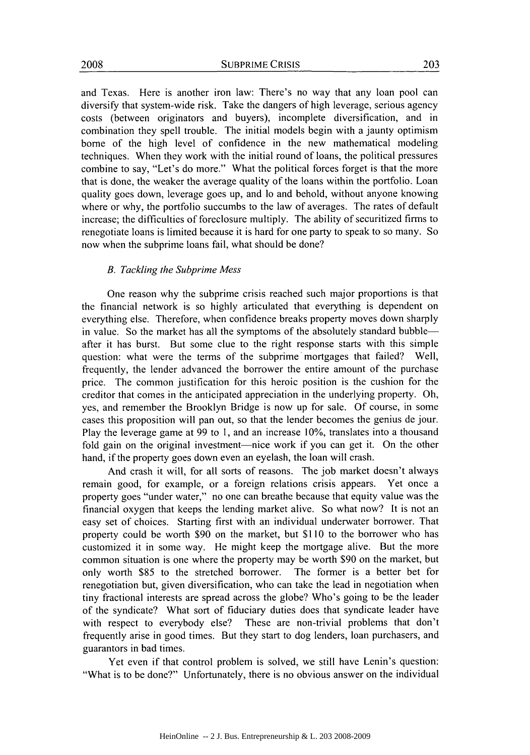and Texas. Here is another iron law: There's no way that any loan pool can diversify that system-wide risk. Take the dangers of high leverage, serious agency costs (between originators and buyers), incomplete diversification, and in combination they spell trouble. The initial models begin with a jaunty optimism borne of the high level of confidence in the new mathematical modeling techniques. When they work with the initial round of loans, the political pressures combine to say, "Let's do more." What the political forces forget is that the more that is done, the weaker the average quality of the loans within the portfolio. Loan quality goes down, leverage goes up, and lo and behold, without anyone knowing where or why, the portfolio succumbs to the law of averages. The rates of default increase; the difficulties of foreclosure multiply. The ability of securitized firms to renegotiate loans is limited because it is hard for one party to speak to so many. So now when the subprime loans fail, what should be done?

#### *B. Tackling the Subprime Mess*

One reason why the subprime crisis reached such major proportions is that the financial network is so **highly** articulated that everything is dependent on everything else. Therefore, when confidence breaks property moves down sharply in value. So the market has all the symptoms of the absolutely standard bubbleafter it has burst. But some clue to the right response starts with this simple question: what were the terms of the subprime mortgages that failed? Well, frequently, the lender advanced the borrower the entire amount of the purchase price. The common justification for this heroic position is the cushion for the creditor that comes in the anticipated appreciation in the underlying property. Oh, yes, and remember the Brooklyn Bridge is now up for sale. **Of** course, in some cases this proposition will pan out, so that the lender becomes the genius de jour. Play the leverage game at **99** to **1,** and an increase **10%,** translates into a thousand fold gain on the original investment—nice work if you can get it. On the other hand, if the property goes down even an eyelash, the loan will crash.

And crash it will, for all sorts of reasons. The **job** market doesn't always remain good, for example, or a foreign relations crisis appears. Yet once a property goes "under water," no one can breathe because that equity value was the financial oxygen that keeps the lending market alive. So what now? It is not an easy set of choices. Starting first with an individual underwater borrower. That property could be worth **\$90** on the market, but **\$110** to the borrower who has customized it in some way. He might keep the mortgage alive. But the more common situation is one where the property may be worth **\$90** on the market, but only worth *\$85* to the stretched borrower. The former is a better bet for renegotiation but, given diversification, who can take the lead in negotiation when tiny fractional interests are spread across the globe? Who's going to be the leader of the syndicate? What sort of fiduciary duties does that syndicate leader have with respect to everybody else? These are non-trivial problems that don't frequently arise in good times. But they start to dog lenders, loan purchasers, and guarantors in bad times.

Yet even if that control problem is solved, we still have Lenin's question: "What is to be done?" Unfortunately, there is no obvious answer on the individual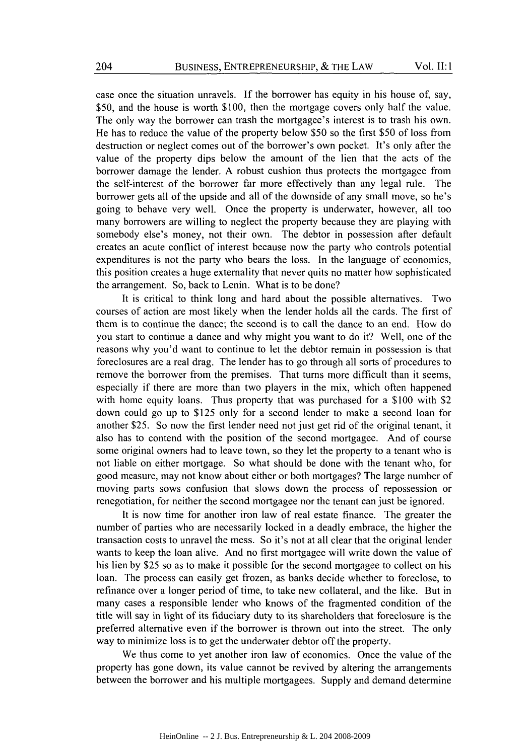case once the situation unravels. **If** the borrower has equity in his house of, say, **\$50,** and the house is worth **\$100,** then the mortgage covers only half the value. The only way the borrower can trash the mortgagee's interest is to trash his own. He has to reduce the value of the property below **\$50** so the first **\$50** of loss from destruction or neglect comes out of the borrower's own pocket. It's only after the value of the property dips below the amount of the lien that the acts of the borrower damage the lender. **A** robust cushion thus protects the mortgagee from the self-interest of the borrower far more effectively than any legal rule. The borrower gets all of the upside and all of the downside of any small move, so he's going to behave very well. Once the property is underwater, however, all too many borrowers are willing to neglect the property because they are playing with somebody else's money, not their own. The debtor in possession after default creates an acute conflict of interest because now the party who controls potential expenditures is not the party who bears the loss. In the language of economics, this position creates a huge externality that never quits no matter how sophisticated the arrangement. So, back to Lenin. What is to be done?

It is critical to think long and hard about the possible alternatives. Two courses of action are most likely when the lender holds all the cards. The first of them is to continue the dance; the second is to call the dance to an end. How do you start to continue a dance and why might you want to do it? Well, one of the reasons why you'd want to continue to let the debtor remain in possession is that foreclosures are a real drag. The lender has to go through all sorts of procedures to remove the borrower from the premises. That turns more difficult than it seems, especially if there are more than two players in the mix, which often happened with home equity loans. Thus property that was purchased for a **\$100** with \$2 down could go up to **\$125** only for a second lender to make a second loan for another **\$25.** So now the first lender need not just get rid of the original tenant, it also has to contend with the position of the second mortgagee. And of course some original owners had to leave town, so they let the property to a tenant who is not liable on either mortgage. So what should be done with the tenant who, for good measure, may not know about either or both mortgages? The large number of moving parts sows confusion that slows down the process of repossession or renegotiation, for neither the second mortgagee nor the tenant can just be ignored.

It is now time for another iron law of real estate finance. The greater the number of parties who are necessarily locked in a deadly embrace, the higher the transaction costs to unravel the mess. So it's not at all clear that the original lender wants to keep the loan alive. And no first mortgagee will write down the value of his lien **by \$25** so as to make it possible for the second mortgagee to collect on his loan. The process can easily get frozen, as banks decide whether to foreclose, to refinance over a longer period of time, to take new collateral, and the like. But in many cases a responsible lender who knows of the fragmented condition of the title will say in light of its fiduciary duty to its shareholders that foreclosure is the preferred alternative even if the borrower is thrown out into the street. The only way to minimize loss is to get the underwater debtor off the property.

We thus come to yet another iron law of economics. Once the value of the property has gone down, its value cannot be revived **by** altering the arrangements between the borrower and his multiple mortgagees. Supply and demand determine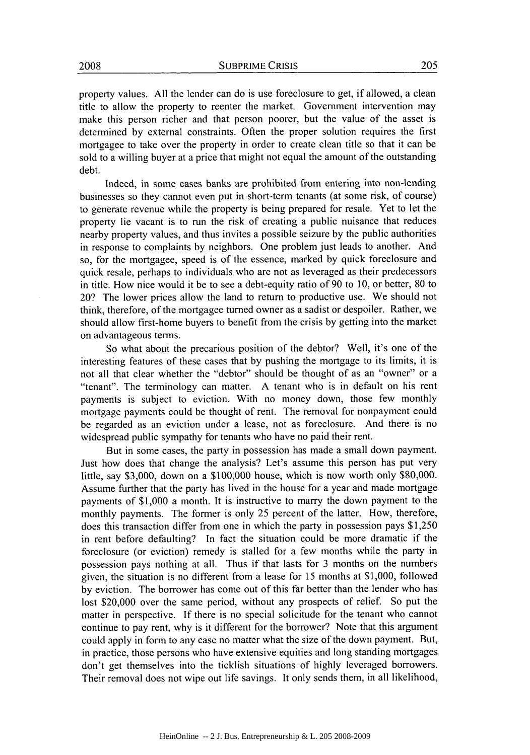property values. **All** the lender can do is use foreclosure to get, if allowed, a clean title to allow the property to reenter the market. Government intervention may make this person richer and that person poorer, but the value of the asset is determined **by** external constraints. Often the proper solution requires the first mortgagee to take over the property in order to create clean title so that it can be sold to a willing buyer at a price that might not equal the amount of the outstanding debt.

Indeed, in some cases banks are prohibited from entering into non-lending businesses so they cannot even put in short-term tenants (at some risk, of course) to generate revenue while the property is being prepared for resale. Yet to let the property lie vacant is to run the risk of creating a public nuisance that reduces nearby property values, and thus invites a possible seizure **by** the public authorities in response to complaints **by** neighbors. One problem just leads to another. And so, for the mortgagee, speed is of the essence, marked **by** quick foreclosure and quick resale, perhaps to individuals who are not as leveraged as their predecessors in title. How nice would it be to see a debt-equity ratio of **90** to **10,** or better, **80** to 20? The lower prices allow the land to return to productive use. We should not think, therefore, of the mortgagee turned owner as a sadist or despoiler. Rather, we should allow first-home buyers to benefit from the crisis **by** getting into the market on advantageous terms.

So what about the precarious position of the debtor? Well, it's one of the interesting features of these cases that **by** pushing the mortgage to its limits, it is not all that clear whether the "debtor" should be thought of as an "owner" or a "tenant". The terminology can matter. **A** tenant who is in default on his rent payments is subject to eviction. With no money down, those few monthly mortgage payments could be thought of rent. The removal for nonpayment could **be** regarded as an eviction under a lease, not as foreclosure. And there is no widespread public sympathy for tenants who have no paid their rent.

But in some cases, the party in possession has made a small down payment. Just how does that change the analysis? Let's assume this person has put very little, say **\$3,000,** down on a **\$100,000** house, which is now worth only **\$80,000.** Assume further that the party has lived in the house for a year and made mortgage payments of **\$1,000** a month. It is instructive to marry the down payment to the monthly payments. The former is only **25** percent of the latter. How, therefore, does this transaction differ from one in which the party in possession pays **\$1,250** in rent before defaulting? In fact the situation could be more dramatic if the foreclosure (or eviction) remedy is stalled for a few months while the party in possession pays nothing at all. Thus if that lasts for **3** months on the numbers given, the situation is no different from a lease for **15** months at **\$1,000,** followed **by** eviction. The borrower has come out of this far better than the lender who has lost \$20,000 over the same period, without any prospects of relief. So put the matter in perspective. **If** there is no special solicitude for the tenant who cannot continue to pay rent, why is it different for the borrower? Note that this argument could apply in form to any case no matter what the size of the down payment. But, in practice, those persons who have extensive equities and long standing mortgages don't get themselves into the ticklish situations of **highly** leveraged borrowers. Their removal does not wipe out life savings. It only sends them, in all likelihood,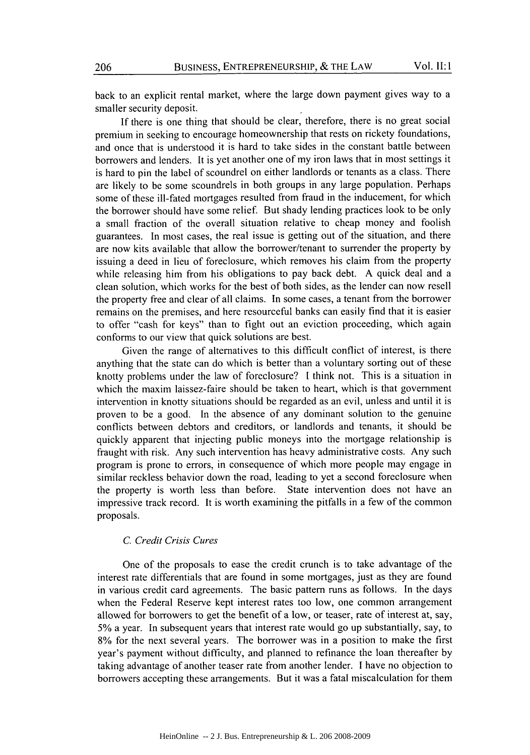back to an explicit rental market, where the large down payment gives way to a smaller security deposit.

**If** there is one thing that should be clear, therefore, there is no great social premium in seeking to encourage homeownership that rests on rickety foundations, and once that is understood it is hard to take sides in the constant battle between borrowers and lenders. It is yet another one of my iron laws that in most settings it is hard to pin the label of scoundrel on either landlords or tenants as a class. There are likely to be some scoundrels in both groups in any large population. Perhaps some of these ill-fated mortgages resulted from fraud in the inducement, for which the borrower should have some relief. But shady lending practices look to be only a small fraction of the overall situation relative to cheap money and foolish guarantees. In most cases, the real issue is getting out of the situation, and there are now kits available that allow the borrower/tenant to surrender the property **by** issuing a deed in lieu of foreclosure, which removes his claim from the property while releasing him from his obligations to pay back debt. **A** quick deal and a clean solution, which works for the best of both sides, as the lender can now resell the property free and clear of all claims. In some cases, a tenant from the borrower remains on the premises, and here resourceful banks can easily find that it is easier to offer "cash for keys" than to fight out an eviction proceeding, which again conforms to our view that quick solutions are best.

Given the range of alternatives to this difficult conflict of interest, is there anything that the state can do which is better than a voluntary sorting out of these knotty problems under the law of foreclosure? **I** think not. This is a situation in which the maxim laissez-faire should be taken to heart, which is that government intervention in knotty situations should **be** regarded as an evil, unless and until it is proven to be a good. In the absence of any dominant solution to the genuine conflicts between debtors and creditors, or landlords and tenants, it should be quickly apparent that injecting public moneys into the mortgage relationship is fraught with risk. Any such intervention has heavy administrative costs. Any such program is prone to errors, in consequence of which more people may engage in similar reckless behavior down the road, leading to yet a second foreclosure when the property is worth less than before. State intervention does not have an impressive track record. It is worth examining the pitfalls in a few of the common proposals.

#### *C. Credit Crisis Cures*

One of the proposals to ease the credit crunch is to take advantage of the interest rate differentials that are found in some mortgages, just as they are found in various credit card agreements. The basic pattern runs as follows. In the days when the Federal Reserve kept interest rates too low, one common arrangement allowed for borrowers to get the benefit of a low, or teaser, rate of interest at, say, *5%* a year. In subsequent years that interest rate would go up substantially, say, to **8%** for the next several years. The borrower was in a position to make the first year's payment without difficulty, and planned to refinance the loan thereafter **by** taking advantage of another teaser rate from another lender. **I** have no objection to borrowers accepting these arrangements. But it was a fatal miscalculation for them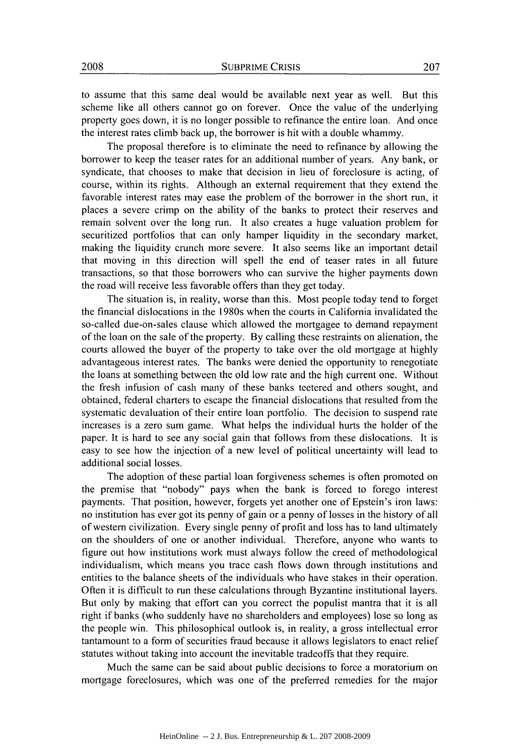to assume that this same deal would be available next year as well. But this scheme like all others cannot go on forever. Once the value of the underlying property goes down, it is no longer possible to refinance the entire loan. And once the interest rates climb back up, the borrower is hit with a double whammy.

The proposal therefore is to eliminate the need to refinance **by** allowing the borrower to keep the teaser rates for an additional number of years. Any bank, or syndicate, that chooses to make that decision in lieu of foreclosure is acting, of course, within its rights. Although an external requirement that they extend the favorable interest rates may ease the problem of the borrower in the short run, it places a severe crimp on the ability of the banks to protect their reserves and remain solvent over the long run. It also creates a huge valuation problem for securitized portfolios that can only hamper liquidity in the secondary market, making the liquidity crunch more severe. It also seems like an important detail that moving in this direction will spell the end of teaser rates in all future transactions, so that those borrowers who can survive the higher payments down the road will receive less favorable offers than they get today.

The situation is, in reality, worse than this. Most people today tend to forget the financial dislocations in the 1980s when the courts in California invalidated the so-called due-on-sales clause which allowed the mortgagee to demand repayment of the loan on the sale of the property. **By** calling these restraints on alienation, the courts allowed the buyer of the property to take over the old mortgage at **highly** advantageous interest rates. The banks were denied the opportunity to renegotiate the loans at something between the old low rate and the high current one. Without the fresh infusion of cash many of these banks teetered and others sought, and obtained, federal charters to escape the financial dislocations that resulted from the systematic devaluation of their entire loan portfolio. The decision to suspend rate increases is a zero sum game. What helps the individual hurts the holder of the paper. It is hard to see any social gain that follows from these dislocations. It is easy to see how the injection of a new level of political uncertainty will lead to additional social losses.

The adoption of these partial loan forgiveness schemes is often promoted on the premise that "nobody" pays when the bank is forced to forego interest payments. That position, however, forgets yet another one of Epstein's iron laws: no institution has ever got its penny of gain or a penny of losses in the history of all of western civilization. Every single penny of profit and loss has to land ultimately on the shoulders of one or another individual. Therefore, anyone who wants to figure out how institutions work must always follow the creed of methodological individualism, which means you trace cash flows down through institutions and entities to the balance sheets of the individuals who have stakes in their operation. Often it is difficult to run these calculations through Byzantine institutional layers. But only **by** making that effort can you correct the populist mantra that it is all right **if** banks (who suddenly have no shareholders and employees) lose so long as the people win. This philosophical outlook is, in reality, a gross intellectual error tantamount to a form of securities fraud because it allows legislators to enact relief statutes without taking into account the inevitable tradeoffs that they require.

Much the same can be said about public decisions to force a moratorium on mortgage foreclosures, which was one of the preferred remedies for the major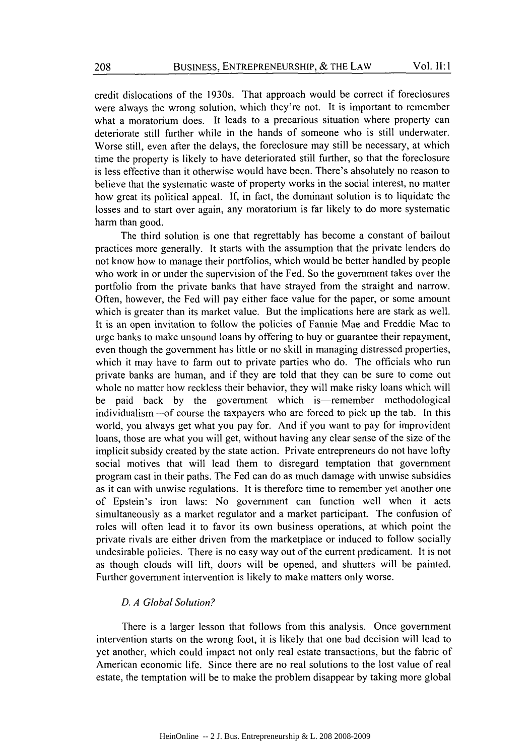credit dislocations of the 1930s. That approach would **be** correct if foreclosures were always the wrong solution, which they're not. It is important to remember what a moratorium does. It leads to a precarious situation where property can deteriorate still further while in the hands of someone who is still underwater. Worse still, even after the delays, the foreclosure may still be necessary, at which time the property is likely to have deteriorated still further, so that the foreclosure is less effective than it otherwise would have been. There's absolutely no reason to believe that the systematic waste of property works in the social interest, no matter how great its political appeal. **If,** in fact, the dominant solution is to liquidate the losses and to start over again, any moratorium is far likely to do more systematic harm than good.

The third solution is one that regrettably has become a constant of bailout practices more generally. It starts with the assumption that the private lenders do not know how to manage their portfolios, which would **be** better handled **by** people who work in or under the supervision of the Fed. So the government takes over the portfolio from the private banks that have strayed from the straight and narrow. Often, however, the Fed will pay either face value for the paper, or some amount which is greater than its market value. But the implications here are stark as well. It is an open invitation to follow the policies of Fannie Mae and Freddie Mac to urge banks to make unsound loans **by** offering to buy or guarantee their repayment, even though the government has little or no skill in managing distressed properties, which it may have to farm out to private parties who do. The officials who run private banks are human, and if they are told that they can be sure to come out whole no matter how reckless their behavior, they will make risky loans which will be paid back by the government which is-remember methodological individualism-of course the taxpayers who are forced to pick up the tab. In this world, you always get what you pay for. And if you want to pay for improvident loans, those are what you will get, without having any clear sense of the size of the implicit subsidy created **by** the state action. Private entrepreneurs do not have lofty social motives that will lead them to disregard temptation that government program cast in their paths. The **Fed** can do as much damage with unwise subsidies as it can with unwise regulations. It is therefore time to remember yet another one of Epstein's iron laws: No government can function well when it acts simultaneously as a market regulator and a market participant. The confusion of roles will often lead it to favor its own business operations, at which point the private rivals are either driven from the marketplace or induced to follow socially undesirable policies. There is no easy way out of the current predicament. It is not as though clouds will lift, doors will be opened, and shutters will be painted. Further government intervention is likely to make matters only worse.

#### *D. A Global Solution?*

There is a larger lesson that follows from this analysis. Once government intervention starts on the wrong foot, it is likely that one bad decision will lead to yet another, which could impact not only real estate transactions, but the fabric of American economic life. Since there are no real solutions to the lost value of real estate, the temptation will be to make the problem disappear **by** taking more global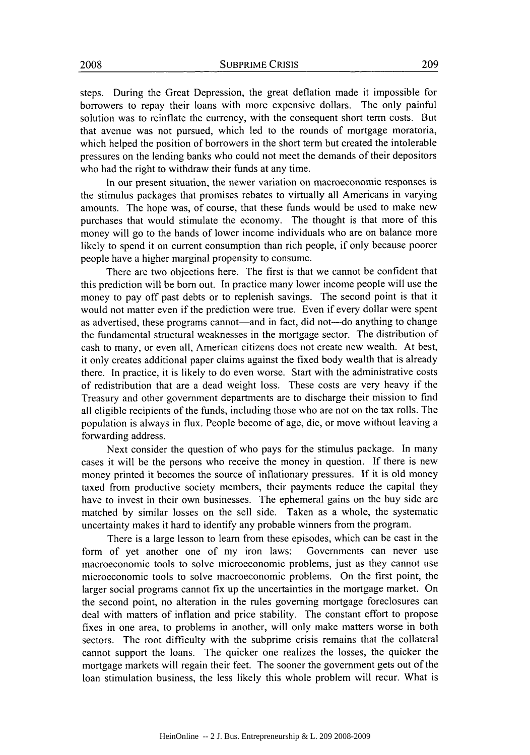steps. During the Great Depression, the great deflation made it impossible for borrowers to repay their loans with more expensive dollars. The only painful solution was to reinflate the currency, with the consequent short term costs. But that avenue was not pursued, which led to the rounds of mortgage moratoria, which helped the position of borrowers in the short term but created the intolerable pressures on the lending banks who could not meet the demands of their depositors who had the right to withdraw their funds at any time.

In our present situation, the newer variation on macroeconomic responses is the stimulus packages that promises rebates to virtually all Americans in varying amounts. The hope was, of course, that these funds would be used to make new purchases that would stimulate the economy. The thought is that more of this money will go to the hands of lower income individuals who are on balance more likely to spend it on current consumption than rich people, if only because poorer people have a higher marginal propensity to consume.

There are two objections here. The first is that we cannot be confident that this prediction will be born out. In practice many lower income people will use the money to pay off past debts or to replenish savings. The second point is that it would not matter even if the prediction were true. Even if every dollar were spent as advertised, these programs cannot—and in fact, did not—do anything to change the fundamental structural weaknesses in the mortgage sector. The distribution of cash to many, or even all, American citizens does not create new wealth. At best, it only creates additional paper claims against the fixed body wealth that is already there. In practice, it is likely to do even worse. Start with the administrative costs of redistribution that are a dead weight loss. These costs are very heavy if the Treasury and other government departments are to discharge their mission to find all eligible recipients of the funds, including those who are not on the tax rolls. The population is always in flux. People become of age, die, or move without leaving a forwarding address.

Next consider the question of who pays for the stimulus package. In many cases it will be the persons who receive the money in question. **If** there is new money printed it becomes the source of inflationary pressures. **If** it is old money taxed from productive society members, their payments reduce the capital they have to invest in their own businesses. The ephemeral gains on the buy side are matched **by** similar losses on the sell side. Taken as a whole, the systematic uncertainty makes it hard to identify any probable winners from the program.

There is a large lesson to learn from these episodes, which can be cast in the form of yet another one of my iron laws: Governments can never use macroeconomic tools to solve microeconomic problems, just as they cannot use microeconomic tools to solve macroeconomic problems. On the first point, the larger social programs cannot fix up the uncertainties in the mortgage market. On the second point, no alteration in the rules governing mortgage foreclosures can deal with matters of inflation and price stability. The constant effort to propose fixes in one area, to problems in another, will only make matters worse in both sectors. The root difficulty with the subprime crisis remains that the collateral cannot support the loans. The quicker one realizes the losses, the quicker the mortgage markets will regain their feet. The sooner the government gets out of the loan stimulation business, the less likely this whole problem will recur. What is